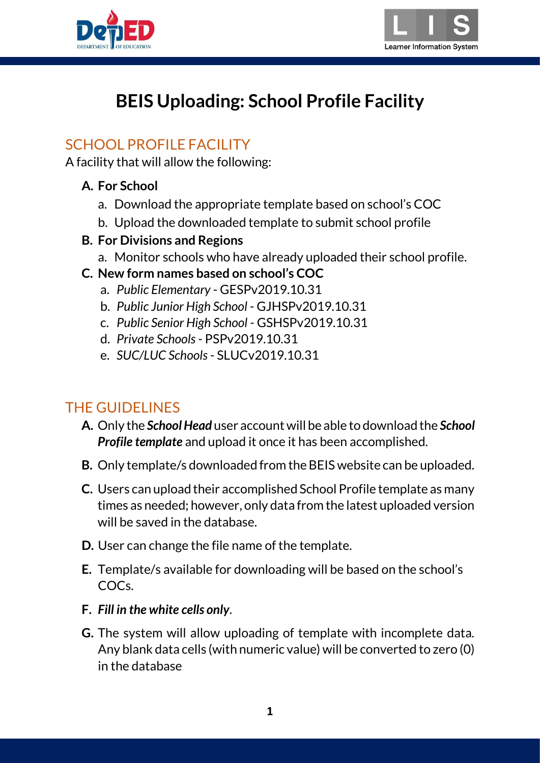



# **BEIS Uploading: School Profile Facility**

# SCHOOL PROFILE FACILITY

A facility that will allow the following:

#### **A. For School**

- a. Download the appropriate template based on school's COC
- b. Upload the downloaded template to submit school profile
- **B. For Divisions and Regions**
	- a. Monitor schools who have already uploaded their school profile.
- **C. New form names based on school's COC**
	- a. *Public Elementary* GESPv2019.10.31
	- b. *Public Junior High School* GJHSPv2019.10.31
	- c. *Public Senior High School* GSHSPv2019.10.31
	- d. *Private Schools* PSPv2019.10.31
	- e. *SUC/LUC Schools* SLUCv2019.10.31

# THE GUIDELINES

- **A.** Only the *School Head* user account will be able to download the *School Profile template* and upload it once it has been accomplished.
- **B.** Only template/s downloaded from the BEIS website can be uploaded.
- **C.** Users can upload their accomplished School Profile template as many times as needed; however, only data from the latest uploaded version will be saved in the database.
- **D.** User can change the file name of the template.
- **E.** Template/s available for downloading will be based on the school's COCs.
- **F.** *Fill in the white cells only*.
- **G.** The system will allow uploading of template with incomplete data. Any blank data cells (with numeric value) will be converted to zero (0) in the database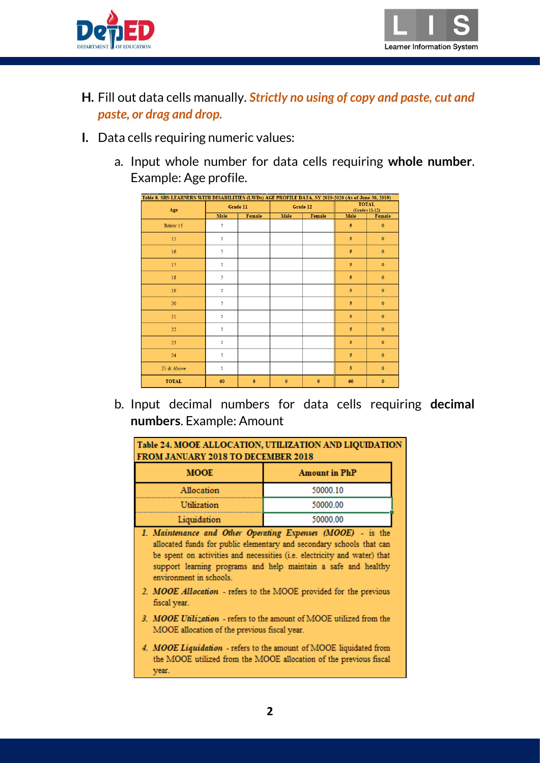



- **H.** Fill out data cells manually. *Strictly no using of copy and paste, cut and paste, or drag and drop.*
- **I.** Data cells requiring numeric values:
	- a. Input whole number for data cells requiring **whole number**. Example: Age profile.

| Table 8. SHS LEARNERS WITH DISABILITIES (LWDs) AGE PROFILE DATA, SY 2019-2020 (As of June 30, 2019) |          |          |          |          |                |                                |
|-----------------------------------------------------------------------------------------------------|----------|----------|----------|----------|----------------|--------------------------------|
| Age                                                                                                 | Grade 11 |          |          | Grade 12 |                | <b>TOTAL</b><br>(Grades 11-12) |
|                                                                                                     | Male     | Female   | Male     | Female   | Male           | Female                         |
| Below 15                                                                                            | 5        |          |          |          | $\overline{5}$ | $\mathbf{0}$                   |
| 15                                                                                                  | 5        |          |          |          | 5              | $\mathbf{0}$                   |
| 16                                                                                                  | 5        |          |          |          | 5              | $\mathbf{0}$                   |
| 17                                                                                                  | 5        |          |          |          | 5              | $\bf{0}$                       |
| 18                                                                                                  | 5        |          |          |          | 5              | $\bf{0}$                       |
| 19                                                                                                  | 5        |          |          |          | 5              | $\bf{0}$                       |
| 20                                                                                                  | 5        |          |          |          | 5              | $\mathbf{0}$                   |
| 21                                                                                                  | 5        |          |          |          | $\overline{5}$ | $\mathbf{0}$                   |
| 22                                                                                                  | 5        |          |          |          | $\overline{5}$ | $\mathbf{0}$                   |
| 23                                                                                                  | 5        |          |          |          | 5              | $\mathbf{0}$                   |
| 24                                                                                                  | 5        |          |          |          | 5              | $\mathbf{0}$                   |
| 25 & Above                                                                                          | 5        |          |          |          | 5              | $\bf{0}$                       |
| <b>TOTAL</b>                                                                                        | 60       | $\bf{0}$ | $\bf{0}$ | $\bf{0}$ | 60             | $\bf{0}$                       |

b. Input decimal numbers for data cells requiring **decimal numbers**. Example: Amount

| Table 24. MOOE ALLOCATION, UTILIZATION AND LIQUIDATION<br>FROM JANUARY 2018 TO DECEMBER 2018 |                                                                                                                                                                                                                                                                                   |  |  |  |
|----------------------------------------------------------------------------------------------|-----------------------------------------------------------------------------------------------------------------------------------------------------------------------------------------------------------------------------------------------------------------------------------|--|--|--|
| <b>MOOE</b>                                                                                  | <b>Amount in PhP</b>                                                                                                                                                                                                                                                              |  |  |  |
| Allocation                                                                                   | 50000.10                                                                                                                                                                                                                                                                          |  |  |  |
| Utilization                                                                                  | 50000.00                                                                                                                                                                                                                                                                          |  |  |  |
| Liquidation                                                                                  | 50000.00                                                                                                                                                                                                                                                                          |  |  |  |
| environment in schools.                                                                      | 1. Maintenance and Other Operating Expenses (MOOE) - is the<br>allocated funds for public elementary and secondary schools that can<br>be spent on activities and necessities (i.e. electricity and water) that<br>support learning programs and help maintain a safe and healthy |  |  |  |
| 2. MOOE Allocation - refers to the MOOE provided for the previous<br>fiscal year.            |                                                                                                                                                                                                                                                                                   |  |  |  |
| MOOE allocation of the previous fiscal year.                                                 | 3. MOOE Utilization - refers to the amount of MOOE utilized from the                                                                                                                                                                                                              |  |  |  |
| year.                                                                                        | 4. MOOE Liquidation - refers to the amount of MOOE liquidated from<br>the MOOE utilized from the MOOE allocation of the previous fiscal                                                                                                                                           |  |  |  |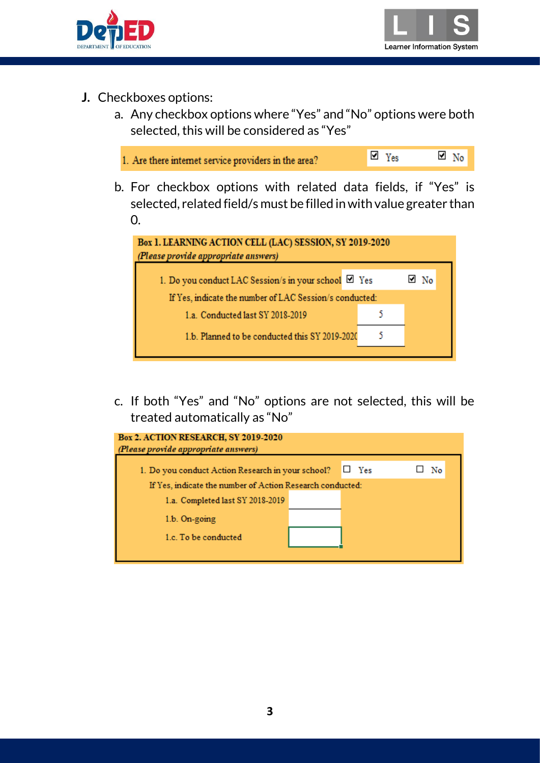



- **J.** Checkboxes options:
	- a. Any checkbox options where "Yes" and "No" options were both selected, this will be considered as "Yes"



b. For checkbox options with related data fields, if "Yes" is selected, related field/s must be filled in with value greater than 0.



c. If both "Yes" and "No" options are not selected, this will be treated automatically as "No"

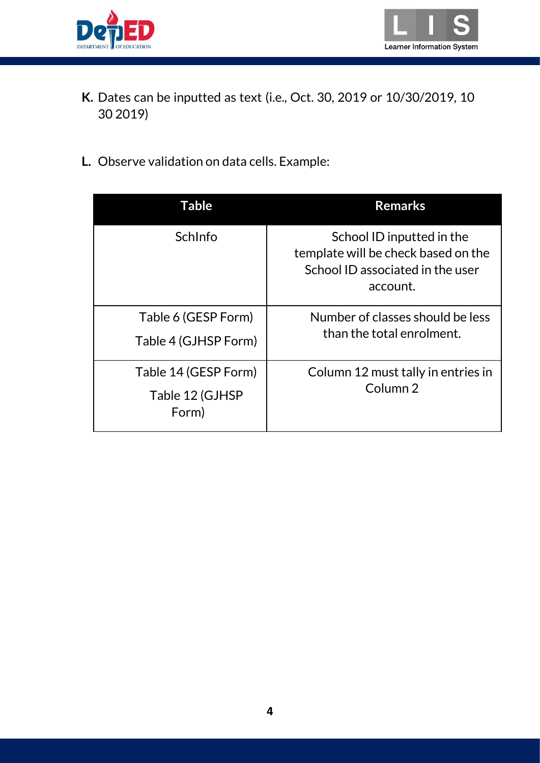



- **K.** Dates can be inputted as text (i.e., Oct. 30, 2019 or 10/30/2019, 10 30 2019)
- **L.** Observe validation on data cells. Example:

| Table                                            | <b>Remarks</b>                                                                                                   |
|--------------------------------------------------|------------------------------------------------------------------------------------------------------------------|
| SchInfo                                          | School ID inputted in the<br>template will be check based on the<br>School ID associated in the user<br>account. |
| Table 6 (GESP Form)<br>Table 4 (GJHSP Form)      | Number of classes should be less<br>than the total enrolment.                                                    |
| Table 14 (GESP Form)<br>Table 12 (GJHSP<br>Form) | Column 12 must tally in entries in<br>Column <sub>2</sub>                                                        |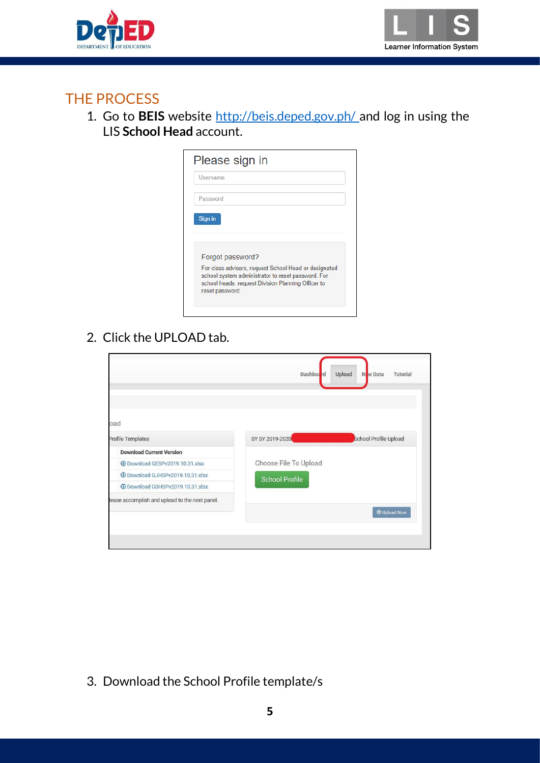



### THE PROCESS

1. Go to **BEIS** website<http://beis.deped.gov.ph/> and log in using the LIS **School Head** account.

| Please sign in                                                                                                                                                                       |
|--------------------------------------------------------------------------------------------------------------------------------------------------------------------------------------|
| Username                                                                                                                                                                             |
| Password                                                                                                                                                                             |
|                                                                                                                                                                                      |
| Forgot password?                                                                                                                                                                     |
| For class advisers, request School Head or designated<br>school system administrator to reset password. For<br>school heads, request Division Planning Officer to<br>reset password. |
| Sign in                                                                                                                                                                              |

2. Click the UPLOAD tab.

|                                                | <b>Dashboard</b>      | Raw Data<br><b>Upload</b><br><b>Tutorial</b> |
|------------------------------------------------|-----------------------|----------------------------------------------|
|                                                |                       |                                              |
|                                                |                       |                                              |
|                                                |                       |                                              |
| oad                                            |                       |                                              |
| <b>Profile Templates</b>                       | SY SY 2019-2020       | School Profile Upload                        |
| <b>Download Current Version</b>                |                       |                                              |
| 10.31.xlsx                                     | Choose File To Upload |                                              |
| <b>EDownload GJHSPv2019.10.31.xlsx</b>         | <b>School Profile</b> |                                              |
| 10.31.xlsx                                     |                       |                                              |
| lease accomplish and upload to the next panel. |                       |                                              |
|                                                |                       | <b>O</b> Upload Now                          |
|                                                |                       |                                              |

3. Download the School Profile template/s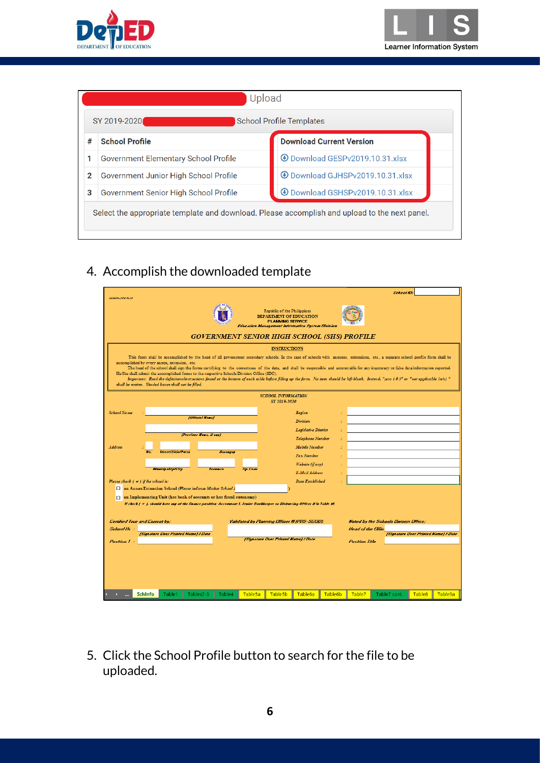



|   | SY 2019-2020<br><b>School Profile Templates</b> |                                                  |  |  |  |
|---|-------------------------------------------------|--------------------------------------------------|--|--|--|
| # | <b>School Profile</b>                           | <b>Download Current Version</b>                  |  |  |  |
| 1 | Government Elementary School Profile            | <b>10.31.xlsx</b> Download GESPv2019.10.31.xlsx  |  |  |  |
| 2 | Government Junior High School Profile           | <b>10.31 Download GJHSPv2019.10.31 xlsx</b>      |  |  |  |
| 3 | Government Senior High School Profile           | <b>10.31.xlsx</b> Download GSHSPv2019.10.31.xlsx |  |  |  |

### 4. Accomplish the downloaded template

|                                                                                                                                                                                                                                  |                                                                                                                                                                                                                                                                                                                                                                                                                                                                                                                                                                     |                                                                           |                                               |                                                                                   |                                                                                                                                                                                            |                      |                                      | <b>School ID:</b>                     |                                      |         |
|----------------------------------------------------------------------------------------------------------------------------------------------------------------------------------------------------------------------------------|---------------------------------------------------------------------------------------------------------------------------------------------------------------------------------------------------------------------------------------------------------------------------------------------------------------------------------------------------------------------------------------------------------------------------------------------------------------------------------------------------------------------------------------------------------------------|---------------------------------------------------------------------------|-----------------------------------------------|-----------------------------------------------------------------------------------|--------------------------------------------------------------------------------------------------------------------------------------------------------------------------------------------|----------------------|--------------------------------------|---------------------------------------|--------------------------------------|---------|
| <b>GSHSFIVING IRAN</b>                                                                                                                                                                                                           |                                                                                                                                                                                                                                                                                                                                                                                                                                                                                                                                                                     | <b>GOVERNMENT SENIOR HIGH SCHOOL (SHS) PROFILE</b>                        |                                               | Republic of the Philippines<br>DEPARTMENT OF EDUCATION<br><b>PLANNING SERVICE</b> | <b>Education Management Information System Division</b>                                                                                                                                    |                      |                                      |                                       |                                      |         |
| accomplished by every annex, extension, etc.<br>He/She shall submit the accomplished forms to the respective Schools Division Office (SDO).<br>shall be written. Shaded boxes shall not be filled.                               | This form shall be accomplished by the head of all government secondary schools. In the case of schools with annexes, extensions, etc., a separate school profile form shall be<br>The head of the school shall sign the forms certifying to the correctness of the data, and shall be responsible and accountable for any inaccuracy or false data/information reported.<br>Important: Read the definitions/instructions found at the bottom of each table before filling up the form. No item should be left blank. Instead, "zero (0)" or "not applicable (n/a)" |                                                                           |                                               | <b>INSTRUCTIONS</b>                                                               |                                                                                                                                                                                            |                      |                                      |                                       |                                      |         |
|                                                                                                                                                                                                                                  |                                                                                                                                                                                                                                                                                                                                                                                                                                                                                                                                                                     |                                                                           |                                               | <b>SCHOOL INFORMATION</b><br>SY 2019-2020                                         |                                                                                                                                                                                            |                      |                                      |                                       |                                      |         |
| <b>School Name</b><br>Address<br>Please check $($ $\blacktriangleright$ $)$ if the school is:<br>an Annex/Extension School (Please indicate Mother School)<br>an Implementing Unit (has book of accounts or has fiscal autonomy) | <i><b>Street/Sitio/Parol</b></i><br><b>Mesicipality/City</b><br>Il check   # }, should have any of the finance position: Accountant I, Senior Bookkeeper or Disbursing Officer II in Table 10.                                                                                                                                                                                                                                                                                                                                                                      | [Official Name]<br>(Previous Name, if any)<br><b>Barangay</b><br>Province | <b>Zip Code</b>                               |                                                                                   | Region<br><b>Division</b><br><b>Legislative District</b><br><b>Telephone Number</b><br><b>Mobile Number</b><br>Fax Number<br>Website (if any)<br>E-Mail Address<br><b>Date Established</b> |                      |                                      |                                       |                                      |         |
| <b>Centified True and Correct by:</b><br>School He<br>Pasition 1 :                                                                                                                                                               | (Signature Over Printed Name) / Date                                                                                                                                                                                                                                                                                                                                                                                                                                                                                                                                |                                                                           | Validated by Planning Officer III (PRS-SGOD): | (Signature Over Printed Name) / Date                                              |                                                                                                                                                                                            |                      | Head of the Offic.<br>Pasition Title | Noted by the Schools Division Office: | (Signature Over Printed Name) / Date |         |
| <b>Schinfo</b>                                                                                                                                                                                                                   | Table1<br>Tables2-3                                                                                                                                                                                                                                                                                                                                                                                                                                                                                                                                                 | Table4                                                                    | Table <sub>5a</sub>                           | Table <sub>5</sub> b                                                              | Table <sub>6a</sub>                                                                                                                                                                        | Table <sub>6</sub> b | Table7                               | Table7 cont.                          | Table <sub>8</sub>                   | Table9a |

5. Click the School Profile button to search for the file to be uploaded.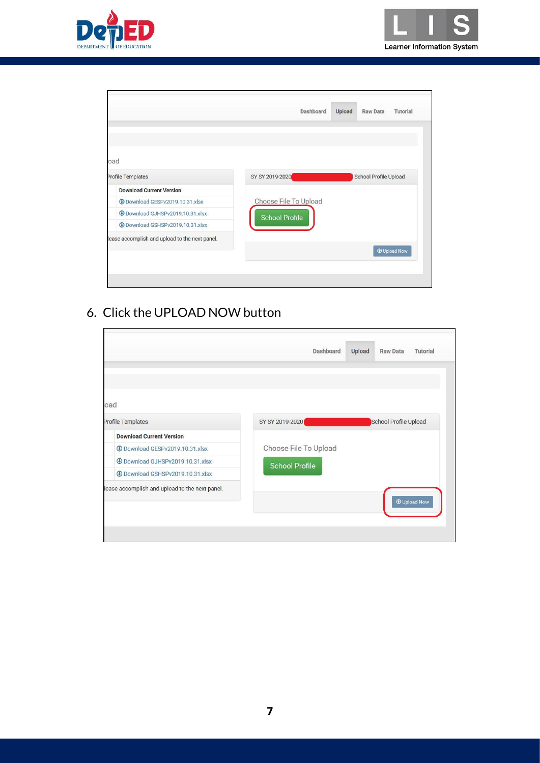



|                                                | Dashboard             | <b>Upload</b> | <b>Raw Data</b><br><b>Tutorial</b> |
|------------------------------------------------|-----------------------|---------------|------------------------------------|
|                                                |                       |               |                                    |
|                                                |                       |               |                                    |
|                                                |                       |               |                                    |
| oad                                            |                       |               |                                    |
| <b>Profile Templates</b>                       | SY SY 2019-2020       |               | School Profile Upload              |
| <b>Download Current Version</b>                |                       |               |                                    |
| 4 Download GESPv2019.10.31.xlsx                | Choose File To Upload |               |                                    |
| <b>E</b> Download GJHSPv2019.10.31.xlsx        | School Profile        |               |                                    |
| 4 Download GSHSPv2019.10.31.xlsx               |                       |               |                                    |
| lease accomplish and upload to the next panel. |                       |               |                                    |
|                                                |                       |               | <b>O</b> Upload Now                |
|                                                |                       |               |                                    |

#### 6. Click the UPLOAD NOW button

|                                                | Dashboard             | <b>Upload</b> | <b>Raw Data</b>       | <b>Tutorial</b>     |
|------------------------------------------------|-----------------------|---------------|-----------------------|---------------------|
|                                                |                       |               |                       |                     |
|                                                |                       |               |                       |                     |
| oad                                            |                       |               |                       |                     |
| Profile Templates                              | SY SY 2019-2020       |               | School Profile Upload |                     |
| <b>Download Current Version</b>                |                       |               |                       |                     |
| <b>4</b> Download GESPv2019.10.31.xlsx         | Choose File To Upload |               |                       |                     |
| <b>EDownload GJHSPv2019.10.31.xlsx</b>         | <b>School Profile</b> |               |                       |                     |
| <b>4 Download GSHSPv2019.10.31.xlsx</b>        |                       |               |                       |                     |
| lease accomplish and upload to the next panel. |                       |               |                       |                     |
|                                                |                       |               |                       | <b>O</b> Upload Now |
|                                                |                       |               |                       |                     |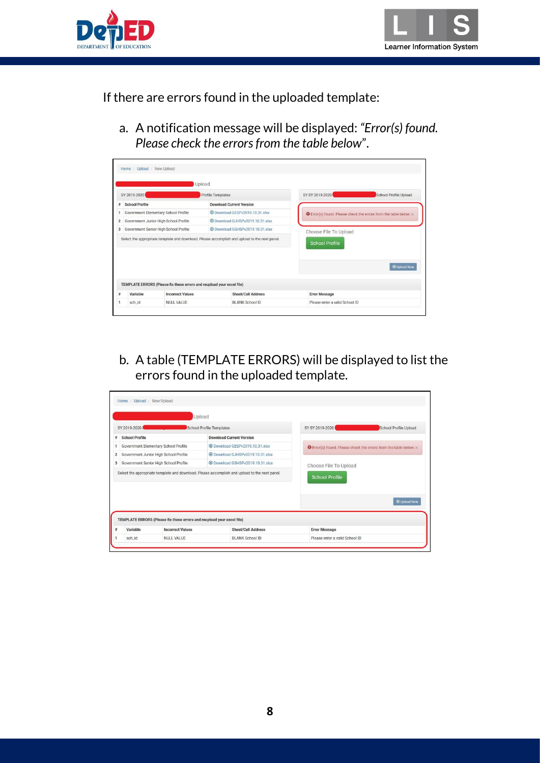



If there are errors found in the uploaded template:

a. A notification message will be displayed: *"Error(s) found. Please check the errors from the table below*".

|                |                                                                        | <b>Upload</b>                                                                                 |                                                                          |
|----------------|------------------------------------------------------------------------|-----------------------------------------------------------------------------------------------|--------------------------------------------------------------------------|
|                | SY 2019-2020                                                           | <b>Profile Templates</b>                                                                      | SY SY 2019-2020<br>School Profile Upload                                 |
| #              | <b>School Profile</b>                                                  | <b>Download Current Version</b>                                                               |                                                                          |
|                | Government Elementary School Profile                                   | 10.31.xlsx +                                                                                  | <b>O</b> Error(s) found. Please check the errors from the table below. x |
| $\overline{2}$ | Government Junior High School Profile                                  | 4 Download GJHSPv2019.10.31 xlsx                                                              |                                                                          |
| 3              | Government Senior High School Profile                                  | <b>EDownload GSHSPv2019.10.31.xlsx</b>                                                        | Choose File To Upload                                                    |
|                |                                                                        | Select the appropriate template and download. Please accomplish and upload to the next panel. | <b>School Profile</b>                                                    |
|                |                                                                        |                                                                                               | <b>@ Upload Now</b>                                                      |
|                | TEMPLATE ERRORS (Please fix these errors and reupload your excel file) |                                                                                               |                                                                          |
|                | Variable<br><b>Incorrect Values</b>                                    | <b>Sheet/Cell Address</b>                                                                     | <b>Error Message</b>                                                     |
|                | sch id<br><b>NULL VALUE</b>                                            | <b>BLANK School ID</b>                                                                        | Please enter a valid School ID                                           |

b. A table (TEMPLATE ERRORS) will be displayed to list the errors found in the uploaded template.

|                                                                        | Upload                                                                                        |                                                                          |
|------------------------------------------------------------------------|-----------------------------------------------------------------------------------------------|--------------------------------------------------------------------------|
| SY 2019-2020                                                           | <b>School Profile Templates</b>                                                               | SY SY 2019-2020<br>School Profile Upload                                 |
| <b>School Profile</b>                                                  | <b>Download Current Version</b>                                                               |                                                                          |
| Government Elementary School Profile                                   | 4 Download GESPv2019.10.31 xlsx                                                               | <b>O</b> Error(s) found. Please check the errors from the table below. x |
| Government Junior High School Profile                                  | 10.31.xlsx                                                                                    |                                                                          |
| Government Senior High School Profile                                  | 4 Download GSHSPv2019.10.31 xlsx                                                              | Choose File To Upload                                                    |
|                                                                        | Select the appropriate template and download. Please accomplish and upload to the next panel. | <b>School Profile</b>                                                    |
|                                                                        |                                                                                               | <b>O</b> Upload Now                                                      |
|                                                                        |                                                                                               |                                                                          |
| TEMPLATE ERRORS (Please fix these errors and reupload your excel file) |                                                                                               |                                                                          |
| Variable<br><b>Incorrect Values</b>                                    | <b>Sheet/Cell Address</b>                                                                     | <b>Error Message</b>                                                     |